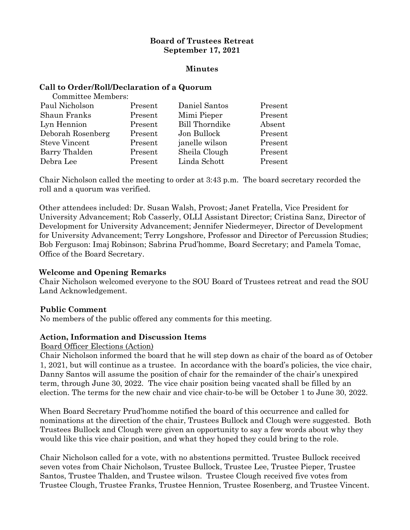#### **Board of Trustees Retreat September 17, 2021**

#### **Minutes**

#### **Call to Order/Roll/Declaration of a Quorum**

| <b>Committee Members:</b> |         |                       |         |
|---------------------------|---------|-----------------------|---------|
| Paul Nicholson            | Present | Daniel Santos         | Present |
| Shaun Franks              | Present | Mimi Pieper           | Present |
| Lyn Hennion               | Present | <b>Bill Thorndike</b> | Absent  |
| Deborah Rosenberg         | Present | Jon Bullock           | Present |
| <b>Steve Vincent</b>      | Present | janelle wilson        | Present |
| Barry Thalden             | Present | Sheila Clough         | Present |
| Debra Lee                 | Present | Linda Schott          | Present |
|                           |         |                       |         |

Chair Nicholson called the meeting to order at 3:43 p.m. The board secretary recorded the roll and a quorum was verified.

Other attendees included: Dr. Susan Walsh, Provost; Janet Fratella, Vice President for University Advancement; Rob Casserly, OLLI Assistant Director; Cristina Sanz, Director of Development for University Advancement; Jennifer Niedermeyer, Director of Development for University Advancement; Terry Longshore, Professor and Director of Percussion Studies; Bob Ferguson: Imaj Robinson; Sabrina Prud'homme, Board Secretary; and Pamela Tomac, Office of the Board Secretary.

# **Welcome and Opening Remarks**

Chair Nicholson welcomed everyone to the SOU Board of Trustees retreat and read the SOU Land Acknowledgement.

# **Public Comment**

No members of the public offered any comments for this meeting.

# **Action, Information and Discussion Items**

#### Board Officer Elections (Action)

Chair Nicholson informed the board that he will step down as chair of the board as of October 1, 2021, but will continue as a trustee. In accordance with the board's policies, the vice chair, Danny Santos will assume the position of chair for the remainder of the chair's unexpired term, through June 30, 2022. The vice chair position being vacated shall be filled by an election. The terms for the new chair and vice chair-to-be will be October 1 to June 30, 2022.

When Board Secretary Prud'homme notified the board of this occurrence and called for nominations at the direction of the chair, Trustees Bullock and Clough were suggested. Both Trustees Bullock and Clough were given an opportunity to say a few words about why they would like this vice chair position, and what they hoped they could bring to the role.

Chair Nicholson called for a vote, with no abstentions permitted. Trustee Bullock received seven votes from Chair Nicholson, Trustee Bullock, Trustee Lee, Trustee Pieper, Trustee Santos, Trustee Thalden, and Trustee wilson. Trustee Clough received five votes from Trustee Clough, Trustee Franks, Trustee Hennion, Trustee Rosenberg, and Trustee Vincent.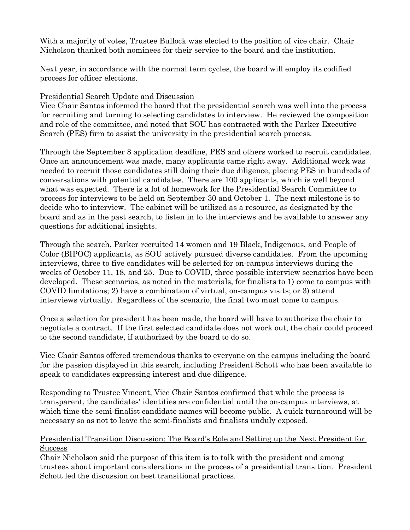With a majority of votes, Trustee Bullock was elected to the position of vice chair. Chair Nicholson thanked both nominees for their service to the board and the institution.

Next year, in accordance with the normal term cycles, the board will employ its codified process for officer elections.

#### Presidential Search Update and Discussion

Vice Chair Santos informed the board that the presidential search was well into the process for recruiting and turning to selecting candidates to interview. He reviewed the composition and role of the committee, and noted that SOU has contracted with the Parker Executive Search (PES) firm to assist the university in the presidential search process.

Through the September 8 application deadline, PES and others worked to recruit candidates. Once an announcement was made, many applicants came right away. Additional work was needed to recruit those candidates still doing their due diligence, placing PES in hundreds of conversations with potential candidates. There are 100 applicants, which is well beyond what was expected. There is a lot of homework for the Presidential Search Committee to process for interviews to be held on September 30 and October 1. The next milestone is to decide who to interview. The cabinet will be utilized as a resource, as designated by the board and as in the past search, to listen in to the interviews and be available to answer any questions for additional insights.

Through the search, Parker recruited 14 women and 19 Black, Indigenous, and People of Color (BIPOC) applicants, as SOU actively pursued diverse candidates. From the upcoming interviews, three to five candidates will be selected for on-campus interviews during the weeks of October 11, 18, and 25. Due to COVID, three possible interview scenarios have been developed. These scenarios, as noted in the materials, for finalists to 1) come to campus with COVID limitations; 2) have a combination of virtual, on-campus visits; or 3) attend interviews virtually. Regardless of the scenario, the final two must come to campus.

Once a selection for president has been made, the board will have to authorize the chair to negotiate a contract. If the first selected candidate does not work out, the chair could proceed to the second candidate, if authorized by the board to do so.

Vice Chair Santos offered tremendous thanks to everyone on the campus including the board for the passion displayed in this search, including President Schott who has been available to speak to candidates expressing interest and due diligence.

Responding to Trustee Vincent, Vice Chair Santos confirmed that while the process is transparent, the candidates' identities are confidential until the on-campus interviews, at which time the semi-finalist candidate names will become public. A quick turnaround will be necessary so as not to leave the semi-finalists and finalists unduly exposed.

# Presidential Transition Discussion: The Board's Role and Setting up the Next President for **Success**

Chair Nicholson said the purpose of this item is to talk with the president and among trustees about important considerations in the process of a presidential transition. President Schott led the discussion on best transitional practices.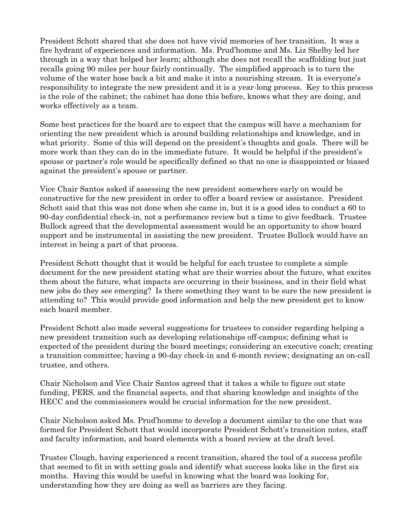President Schott shared that she does not have vivid memories of her transition. It was a fire hydrant of experiences and information. Ms. Prud'homme and Ms. Liz Shelby led her through in a way that helped her learn; although she does not recall the scaffolding but just recalls going 90 miles per hour fairly continually. The simplified approach is to turn the volume of the water hose back a bit and make it into a nourishing stream. It is everyone's responsibility to integrate the new president and it is a year-long process. Key to this process is the role of the cabinet; the cabinet has done this before, knows what they are doing, and works effectively as a team.

Some best practices for the board are to expect that the campus will have a mechanism for orienting the new president which is around building relationships and knowledge, and in what priority. Some of this will depend on the president's thoughts and goals. There will be more work than they can do in the immediate future. It would be helpful if the president's spouse or partner's role would be specifically defined so that no one is disappointed or biased against the president's spouse or partner.

Vice Chair Santos asked if assessing the new president somewhere early on would be constructive for the new president in order to offer a board review or assistance. President Schott said that this was not done when she came in, but it is a good idea to conduct a 60 to 90-day confidential check-in, not a performance review but a time to give feedback. Trustee Bullock agreed that the developmental assessment would be an opportunity to show board support and be instrumental in assisting the new president. Trustee Bullock would have an interest in being a part of that process.

President Schott thought that it would be helpful for each trustee to complete a simple document for the new president stating what are their worries about the future, what excites them about the future, what impacts are occurring in their business, and in their field what new jobs do they see emerging? Is there something they want to be sure the new president is attending to? This would provide good information and help the new president get to know each board member.

President Schott also made several suggestions for trustees to consider regarding helping a new president transition such as developing relationships off-campus; defining what is expected of the president during the board meetings; considering an executive coach; creating a transition committee; having a 90-day check-in and 6-month review; designating an on-call trustee, and others.

Chair Nicholson and Vice Chair Santos agreed that it takes a while to figure out state funding, PERS, and the financial aspects, and that sharing knowledge and insights of the HECC and the commissioners would be crucial information for the new president.

Chair Nicholson asked Ms. Prud'homme to develop a document similar to the one that was formed for President Schott that would incorporate President Schott's transition notes, staff and faculty information, and board elements with a board review at the draft level.

Trustee Clough, having experienced a recent transition, shared the tool of a success profile that seemed to fit in with setting goals and identify what success looks like in the first six months. Having this would be useful in knowing what the board was looking for, understanding how they are doing as well as barriers are they facing.